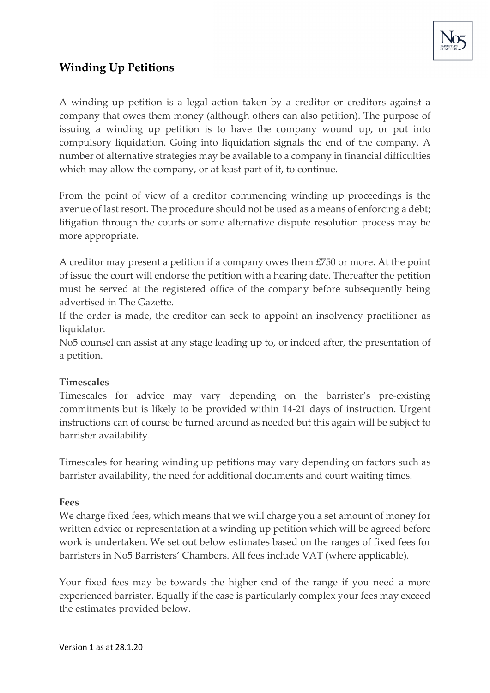

# **Winding Up Petitions**

A winding up petition is a legal action taken by a creditor or creditors against a company that owes them money (although others can also petition). The purpose of issuing a winding up petition is to have the company wound up, or put into compulsory liquidation. Going into liquidation signals the end of the company. A number of alternative strategies may be available to a company in financial difficulties which may allow the company, or at least part of it, to continue.

From the point of view of a creditor commencing winding up proceedings is the avenue of last resort. The procedure should not be used as a means of enforcing a debt; litigation through the courts or some alternative dispute resolution process may be more appropriate.

A creditor may present a petition if a company owes them £750 or more. At the point of issue the court will endorse the petition with a hearing date. Thereafter the petition must be served at the registered office of the company before subsequently being advertised in The Gazette.

If the order is made, the creditor can seek to appoint an insolvency practitioner as liquidator.

No5 counsel can assist at any stage leading up to, or indeed after, the presentation of a petition.

# **Timescales**

Timescales for advice may vary depending on the barrister's pre-existing commitments but is likely to be provided within 14-21 days of instruction. Urgent instructions can of course be turned around as needed but this again will be subject to barrister availability.

Timescales for hearing winding up petitions may vary depending on factors such as barrister availability, the need for additional documents and court waiting times.

### **Fees**

We charge fixed fees, which means that we will charge you a set amount of money for written advice or representation at a winding up petition which will be agreed before work is undertaken. We set out below estimates based on the ranges of fixed fees for barristers in No5 Barristers' Chambers. All fees include VAT (where applicable).

Your fixed fees may be towards the higher end of the range if you need a more experienced barrister. Equally if the case is particularly complex your fees may exceed the estimates provided below.